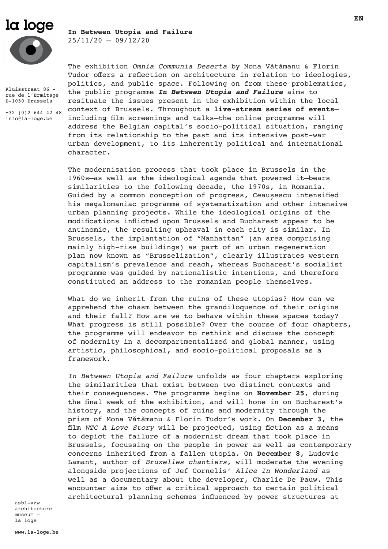# la loge

# **In Between Utopia and Failure**  $25/11/20 - 09/12/20$

Kluisstraat 86 rue de l'Ermitage B-1050 Brussels

+32 (0)2 644 42 48 info@la-loge.be

The exhibition *Omnia Communia Deserta* by Mona Vǎtǎmanu & Florin Tudor offers a reflection on architecture in relation to ideologies, politics, and public space. Following on from these problematics, the public programme *In Between Utopia and Failure* aims to resituate the issues present in the exhibition within the local context of Brussels. Throughout a **live-stream series of events** including film screenings and talks—the online programme will address the Belgian capital's socio-political situation, ranging from its relationship to the past and its intensive post-war urban development, to its inherently political and international character.

The modernisation process that took place in Brussels in the 1960s—as well as the ideological agenda that powered it—bears similarities to the following decade, the 1970s, in Romania. Guided by a common conception of progress, Ceaușescu intensified his megalomaniac programme of systematization and other intensive urban planning projects. While the ideological origins of the modifications inflicted upon Brussels and Bucharest appear to be antinomic, the resulting upheaval in each city is similar. In Brussels, the implantation of "Manhattan" (an area comprising mainly high-rise buildings) as part of an urban regeneration plan now known as "Brusselization", clearly illustrates western capitalism's prevalence and reach, whereas Bucharest's socialist programme was guided by nationalistic intentions, and therefore constituted an address to the romanian people themselves.

What do we inherit from the ruins of these utopias? How can we apprehend the chasm between the grandiloquence of their origins and their fall? How are we to behave within these spaces today? What progress is still possible? Over the course of four chapters, the programme will endeavor to rethink and discuss the concept of modernity in a decompartmentalized and global manner, using artistic, philosophical, and socio-political proposals as a framework.

*In Between Utopia and Failure* unfolds as four chapters exploring the similarities that exist between two distinct contexts and their consequences. The programme begins on **November 25**, during the final week of the exhibition, and will hone in on Bucharest's history, and the concepts of ruins and modernity through the prism of Mona Vǎtǎmanu & Florin Tudor's work. On **December 3**, the film *WTC A Love Story* will be projected, using fiction as a means to depict the failure of a modernist dream that took place in Brussels, focussing on the people in power as well as contemporary concerns inherited from a fallen utopia. On **December 8**, Ludovic Lamant, author of *Bruxelles chantiers*, will moderate the evening alongside projections of Jef Cornelis' *Alice In Wonderland* as well as a documentary about the developer, Charlie De Pauw. This encounter aims to offer a critical approach to certain political architectural planning schemes influenced by power structures at

asbl-vzw architecture museum – la loge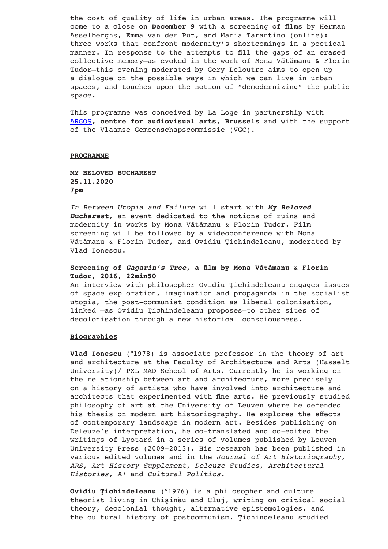the cost of quality of life in urban areas. The programme will come to a close on **December 9** with a screening of films by Herman Asselberghs, Emma van der Put, and Maria Tarantino (online): three works that confront modernity's shortcomings in a poetical manner. In response to the attempts to fill the gaps of an erased collective memory—as evoked in the work of Mona Vǎtǎmanu & Florin Tudor—this evening moderated by Gery Leloutre aims to open up a dialogue on the possible ways in which we can live in urban spaces, and touches upon the notion of "demodernizing" the public space.

This programme was conceived by La Loge in partnership with ARGOS**, centre for audiovisual arts, Brussels** and with the support of the Vlaamse Gemeenschapscommissie (VGC).

#### **PROGRAMME**

**MY BELOVED BUCHAREST 25.11.2020 7pm**

*In Between Utopia and Failure* will start with *My Beloved Bucharest*, an event dedicated to the notions of ruins and modernity in works by Mona Vǎtǎmanu & Florin Tudor. Film screening will be followed by a videoconference with Mona Vǎtǎmanu & Florin Tudor, and Ovidiu Ţichindeleanu, moderated by Vlad Ionescu.

#### **Screening of** *Gagarin's Tree***, a film by Mona Vǎtǎmanu & Florin Tudor, 2016, 22min50**

An interview with philosopher Ovidiu Ţichindeleanu engages issues of space exploration, imagination and propaganda in the socialist utopia, the post-communist condition as liberal colonisation, linked –as Ovidiu Ţichindeleanu proposes–to other sites of decolonisation through a new historical consciousness.

#### **Biographies**

**Vlad Ionescu** (°1978) is associate professor in the theory of art and architecture at the Faculty of Architecture and Arts (Hasselt University)/ PXL MAD School of Arts. Currently he is working on the relationship between art and architecture, more precisely on a history of artists who have involved into architecture and architects that experimented with fine arts. He previously studied philosophy of art at the University of Leuven where he defended his thesis on modern art historiography. He explores the effects of contemporary landscape in modern art. Besides publishing on Deleuze's interpretation, he co-translated and co-edited the writings of Lyotard in a series of volumes published by Leuven University Press (2009-2013). His research has been published in various edited volumes and in the *Journal of Art Historiography*, *ARS*, *Art History Supplement*, *Deleuze Studies*, *Architectural Histories*, *A+* and *Cultural Politics*.

**Ovidiu Ţichindeleanu** (°1976) is a philosopher and culture theorist living in Chişinău and Cluj, writing on critical social theory, decolonial thought, alternative epistemologies, and the cultural history of postcommunism. Ţichindeleanu studied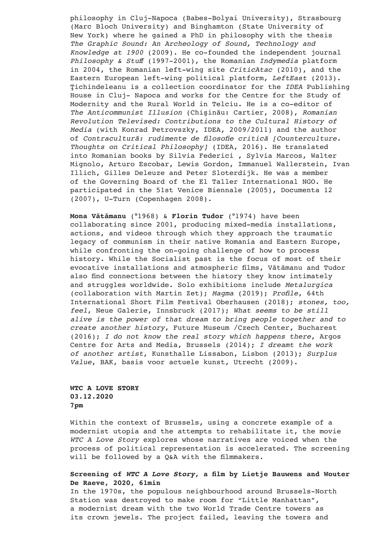philosophy in Cluj-Napoca (Babes-Bolyai University), Strasbourg (Marc Bloch University) and Binghamton (State University of New York) where he gained a PhD in philosophy with the thesis *The Graphic Sound: An Archeology of Sound, Technology and Knowledge at 1900* (2009). He co-founded the independent journal *Philosophy & Stuff* (1997-2001), the Romanian *Indymedia* platform in 2004, the Romanian left-wing site *CriticAtac* (2010), and the Eastern European left-wing political platform, *LeftEast* (2013). Ţichindeleanu is a collection coordinator for the *IDEA* Publishing House in Cluj- Napoca and works for the Centre for the Study of Modernity and the Rural World in Telciu. He is a co-editor of *The Anticommunist Illusion* (Chişinău: Cartier, 2008), *Romanian Revolution Televised: Contributions to the Cultural History of Media* (with Konrad Petrovszky, IDEA, 2009/2011) and the author of *Contracultură: rudimente de filosofie critică [Counterculture. Thoughts on Critical Philosophy]* (IDEA, 2016). He translated into Romanian books by Silvia Federici , Sylvia Marcos, Walter Mignolo, Arturo Escobar, Lewis Gordon, Immanuel Wallerstein, Ivan Illich, Gilles Deleuze and Peter Sloterdijk. He was a member of the Governing Board of the El Taller International NGO. He participated in the 51st Venice Biennale (2005), Documenta 12 (2007), U-Turn (Copenhagen 2008).

**Mona Vǎtǎmanu** (°1968) & **Florin Tudor** (°1974) have been collaborating since 2001, producing mixed-media installations, actions, and videos through which they approach the traumatic legacy of communism in their native Romania and Eastern Europe, while confronting the on-going challenge of how to process history. While the Socialist past is the focus of most of their evocative installations and atmospheric films, Vǎtǎmanu and Tudor also find connections between the history they know intimately and struggles worldwide. Solo exhibitions include *Metalurgica* (collaboration with Martin Zet); *Magma* (2019); *Profile*, 64th International Short Film Festival Oberhausen (2018); *stones, too, feel*, Neue Galerie, Innsbruck (2017); *What seems to be still alive is the power of that dream to bring people together and to create another history*, Future Museum /Czech Center, Bucharest (2016); *I do not know the real story which happens there*, Argos Centre for Arts and Media, Brussels (2014); *I dreamt the work of another artist*, Kunsthalle Lissabon, Lisbon (2013); *Surplus Value*, BAK, basis voor actuele kunst, Utrecht (2009).

# **WTC A LOVE STORY 03.12.2020 7pm**

Within the context of Brussels, using a concrete example of a modernist utopia and the attempts to rehabilitate it, the movie *WTC A Love Story* explores whose narratives are voiced when the process of political representation is accelerated. The screening will be followed by a Q&A with the filmmakers.

## **Screening of** *WTC A Love Story***, a film by Lietje Bauwens and Wouter De Raeve, 2020, 61min**

In the 1970s, the populous neighbourhood around Brussels-North Station was destroyed to make room for "Little Manhattan", a modernist dream with the two World Trade Centre towers as its crown jewels. The project failed, leaving the towers and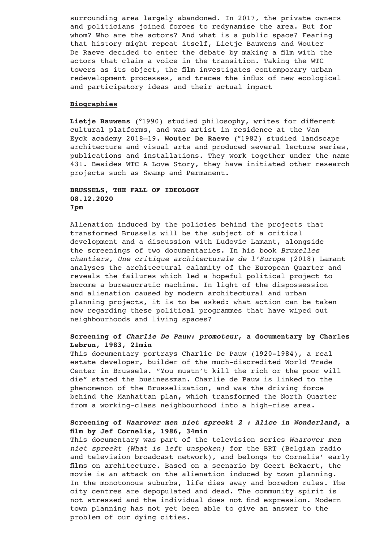surrounding area largely abandoned. In 2017, the private owners and politicians joined forces to redynamise the area. But for whom? Who are the actors? And what is a public space? Fearing that history might repeat itself, Lietje Bauwens and Wouter De Raeve decided to enter the debate by making a film with the actors that claim a voice in the transition. Taking the WTC towers as its object, the film investigates contemporary urban redevelopment processes, and traces the influx of new ecological and participatory ideas and their actual impact

#### **Biographies**

**Lietje Bauwens** (°1990) studied philosophy, writes for different cultural platforms, and was artist in residence at the Van Eyck academy 2018–19. **Wouter De Raeve** (°1982) studied landscape architecture and visual arts and produced several lecture series, publications and installations. They work together under the name 431. Besides WTC A Love Story, they have initiated other research projects such as Swamp and Permanent.

# **BRUSSELS, THE FALL OF IDEOLOGY 08.12.2020 7pm**

Alienation induced by the policies behind the projects that transformed Brussels will be the subject of a critical development and a discussion with Ludovic Lamant, alongside the screenings of two documentaries. In his book *Bruxelles chantiers, Une critique architecturale de l'Europe* (2018) Lamant analyses the architectural calamity of the European Quarter and reveals the failures which led a hopeful political project to become a bureaucratic machine. In light of the dispossession and alienation caused by modern architectural and urban planning projects, it is to be asked: what action can be taken now regarding these political programmes that have wiped out neighbourhoods and living spaces?

## **Screening of** *Charlie De Pauw: promoteur***, a documentary by Charles Lebrun, 1983, 21min**

This documentary portrays Charlie De Pauw (1920-1984), a real estate developer, builder of the much-discredited World Trade Center in Brussels. "You mustn't kill the rich or the poor will die" stated the businessman. Charlie de Pauw is linked to the phenomenon of the Brusselization, and was the driving force behind the Manhattan plan, which transformed the North Quarter from a working-class neighbourhood into a high-rise area.

#### **Screening of** *Waarover men niet spreekt 2 : Alice in Wonderland***, a film by Jef Cornelis, 1986, 34min**

This documentary was part of the television series *Waarover men niet spreekt (What is left unspoken)* for the BRT (Belgian radio and television broadcast network), and belongs to Cornelis' early films on architecture. Based on a scenario by Geert Bekaert, the movie is an attack on the alienation induced by town planning. In the monotonous suburbs, life dies away and boredom rules. The city centres are depopulated and dead. The community spirit is not stressed and the individual does not find expression. Modern town planning has not yet been able to give an answer to the problem of our dying cities.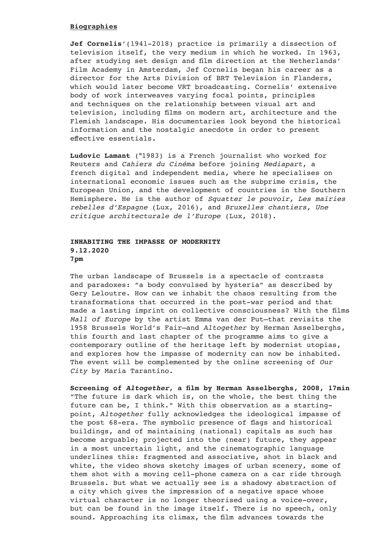#### **Biographies**

**Jef Cornelis**'(1941-2018) practice is primarily a dissection of television itself, the very medium in which he worked. In 1963, after studying set design and film direction at the Netherlands' Film Academy in Amsterdam, Jef Cornelis began his career as a director for the Arts Division of BRT Television in Flanders, which would later become VRT broadcasting. Cornelis' extensive body of work interweaves varying focal points, principles and techniques on the relationship between visual art and television, including films on modern art, architecture and the Flemish landscape. His documentaries look beyond the historical information and the nostalgic anecdote in order to present effective essentials.

**Ludovic Lamant** (°1983) is a French journalist who worked for Reuters and *Cahiers du Cinéma* before joining *Mediapart*, a french digital and independent media, where he specialises on international economic issues such as the subprime crisis, the European Union, and the development of countries in the Southern Hemisphere. He is the author of *Squatter le pouvoir, Les mairies rebelles d'Espagne* (Lux, 2016), and *Bruxelles chantiers, Une critique architecturale de l'Europe* (Lux, 2018).

## **INHABITING THE IMPASSE OF MODERNITY 9.12.2020 7pm**

The urban landscape of Brussels is a spectacle of contrasts and paradoxes: "a body convulsed by hysteria" as described by Gery Leloutre. How can we inhabit the chaos resulting from the transformations that occurred in the post-war period and that made a lasting imprint on collective consciousness? With the films *Mall of Europe* by the artist Emma van der Put—that revisits the 1958 Brussels World's Fair—and *Altogether* by Herman Asselberghs, this fourth and last chapter of the programme aims to give a contemporary outline of the heritage left by modernist utopias, and explores how the impasse of modernity can now be inhabited. The event will be complemented by the online screening of *Our City* by Maria Tarantino.

**Screening of** *Altogether***, a film by Herman Asselberghs, 2008, 17min**  "The future is dark which is, on the whole, the best thing the future can be, I think." With this observation as a startingpoint, *Altogether* fully acknowledges the ideological impasse of the post 68-era. The symbolic presence of flags and historical buildings, and of maintaining (national) capitals as such has become arguable; projected into the (near) future, they appear in a most uncertain light, and the cinematographic language underlines this: fragmented and associative, shot in black and white, the video shows sketchy images of urban scenery, some of them shot with a moving cell-phone camera on a car ride through Brussels. But what we actually see is a shadowy abstraction of a city which gives the impression of a negative space whose virtual character is no longer theorised using a voice-over, but can be found in the image itself. There is no speech, only sound. Approaching its climax, the film advances towards the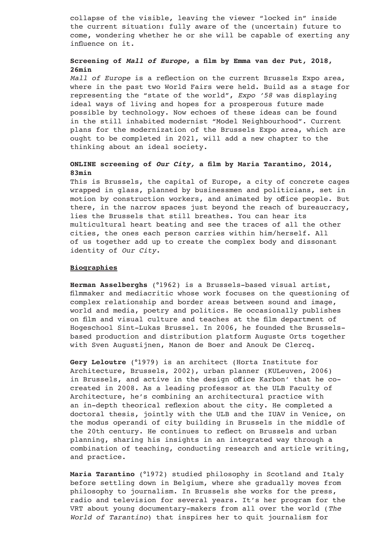collapse of the visible, leaving the viewer "locked in" inside the current situation: fully aware of the (uncertain) future to come, wondering whether he or she will be capable of exerting any influence on it.

# **Screening of** *Mall of Europe***, a film by Emma van der Put, 2018, 26min**

*Mall of Europe* is a reflection on the current Brussels Expo area, where in the past two World Fairs were held. Build as a stage for representing the "state of the world", *Expo '58* was displaying ideal ways of living and hopes for a prosperous future made possible by technology. Now echoes of these ideas can be found in the still inhabited modernist "Model Neighbourhood". Current plans for the modernization of the Brussels Expo area, which are ought to be completed in 2021, will add a new chapter to the thinking about an ideal society.

### **ONLINE screening of** *Our City,* **a film by Maria Tarantino, 2014, 83min**

This is Brussels, the capital of Europe, a city of concrete cages wrapped in glass, planned by businessmen and politicians, set in motion by construction workers, and animated by office people. But there, in the narrow spaces just beyond the reach of bureaucracy, lies the Brussels that still breathes. You can hear its multicultural heart beating and see the traces of all the other cities, the ones each person carries within him/herself. All of us together add up to create the complex body and dissonant identity of *Our City*.

#### **Biographies**

**Herman Asselberghs** (°1962) is a Brussels-based visual artist, filmmaker and mediacritic whose work focuses on the questioning of complex relationship and border areas between sound and image, world and media, poetry and politics. He occasionally publishes on film and visual culture and teaches at the film department of Hogeschool Sint-Lukas Brussel. In 2006, he founded the Brusselsbased production and distribution platform Auguste Orts together with Sven Augustijnen, Manon de Boer and Anouk De Clercq.

**Gery Leloutre** (°1979) is an architect (Horta Institute for Architecture, Brussels, 2002), urban planner (KULeuven, 2006) in Brussels, and active in the design office Karbon' that he cocreated in 2008. As a leading professor at the ULB Faculty of Architecture, he's combining an architectural practice with an in-depth theorical reflexion about the city. He completed a doctoral thesis, jointly with the ULB and the IUAV in Venice, on the modus operandi of city building in Brussels in the middle of the 20th century. He continues to reflect on Brussels and urban planning, sharing his insights in an integrated way through a combination of teaching, conducting research and article writing, and practice.

**Maria Tarantino** (°1972) studied philosophy in Scotland and Italy before settling down in Belgium, where she gradually moves from philosophy to journalism. In Brussels she works for the press, radio and television for several years. It's her program for the VRT about young documentary-makers from all over the world (*The World of Tarantino*) that inspires her to quit journalism for